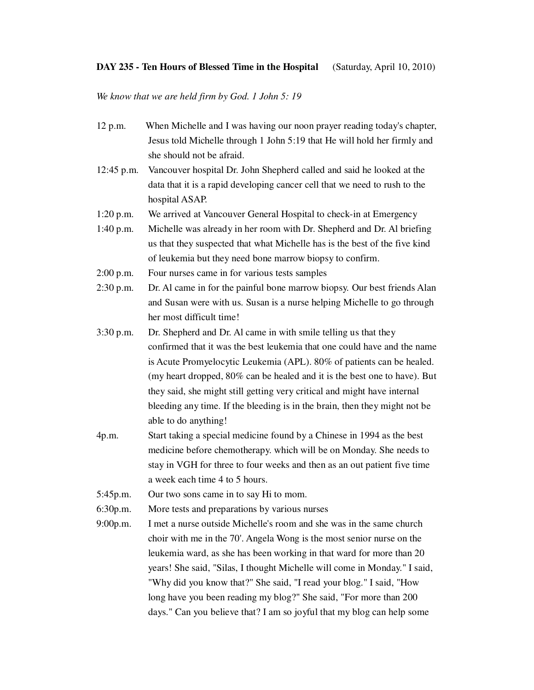## **DAY 235 - Ten Hours of Blessed Time in the Hospital** (Saturday, April 10, 2010)

*We know that we are held firm by God. 1 John 5: 19* 

| 12 p.m.     | When Michelle and I was having our noon prayer reading today's chapter,    |
|-------------|----------------------------------------------------------------------------|
|             | Jesus told Michelle through 1 John 5:19 that He will hold her firmly and   |
|             | she should not be afraid.                                                  |
| 12:45 p.m.  | Vancouver hospital Dr. John Shepherd called and said he looked at the      |
|             | data that it is a rapid developing cancer cell that we need to rush to the |
|             | hospital ASAP.                                                             |
| 1:20 p.m.   | We arrived at Vancouver General Hospital to check-in at Emergency          |
| 1:40 p.m.   | Michelle was already in her room with Dr. Shepherd and Dr. Al briefing     |
|             | us that they suspected that what Michelle has is the best of the five kind |
|             | of leukemia but they need bone marrow biopsy to confirm.                   |
| $2:00$ p.m. | Four nurses came in for various tests samples                              |
| 2:30 p.m.   | Dr. Al came in for the painful bone marrow biopsy. Our best friends Alan   |
|             | and Susan were with us. Susan is a nurse helping Michelle to go through    |
|             | her most difficult time!                                                   |
| $3:30$ p.m. | Dr. Shepherd and Dr. Al came in with smile telling us that they            |
|             | confirmed that it was the best leukemia that one could have and the name   |
|             | is Acute Promyelocytic Leukemia (APL). 80% of patients can be healed.      |
|             | (my heart dropped, 80% can be healed and it is the best one to have). But  |
|             | they said, she might still getting very critical and might have internal   |
|             | bleeding any time. If the bleeding is in the brain, then they might not be |
|             | able to do anything!                                                       |
| 4p.m.       | Start taking a special medicine found by a Chinese in 1994 as the best     |
|             | medicine before chemotherapy. which will be on Monday. She needs to        |
|             | stay in VGH for three to four weeks and then as an out patient five time   |
|             | a week each time 4 to 5 hours.                                             |
| 5:45p.m.    | Our two sons came in to say Hi to mom.                                     |
| 6:30p.m.    | More tests and preparations by various nurses                              |
| 9:00p.m.    | I met a nurse outside Michelle's room and she was in the same church       |
|             | choir with me in the 70'. Angela Wong is the most senior nurse on the      |
|             | leukemia ward, as she has been working in that ward for more than 20       |
|             | years! She said, "Silas, I thought Michelle will come in Monday." I said,  |
|             | "Why did you know that?" She said, "I read your blog." I said, "How        |

long have you been reading my blog?" She said, "For more than 200 days." Can you believe that? I am so joyful that my blog can help some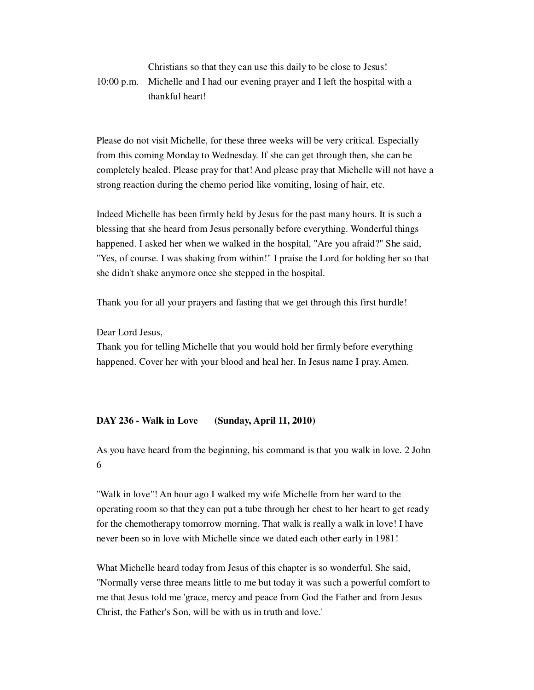## Christians so that they can use this daily to be close to Jesus! 10:00 p.m. Michelle and I had our evening prayer and I left the hospital with a thankful heart!

Please do not visit Michelle, for these three weeks will be very critical. Especially from this coming Monday to Wednesday. If she can get through then, she can be completely healed. Please pray for that! And please pray that Michelle will not have a strong reaction during the chemo period like vomiting, losing of hair, etc.

Indeed Michelle has been firmly held by Jesus for the past many hours. It is such a blessing that she heard from Jesus personally before everything. Wonderful things happened. I asked her when we walked in the hospital, "Are you afraid?" She said, "Yes, of course. I was shaking from within!" I praise the Lord for holding her so that she didn't shake anymore once she stepped in the hospital.

Thank you for all your prayers and fasting that we get through this first hurdle!

Dear Lord Jesus,

Thank you for telling Michelle that you would hold her firmly before everything happened. Cover her with your blood and heal her. In Jesus name I pray. Amen.

## **DAY 236 - Walk in Love (Sunday, April 11, 2010)**

As you have heard from the beginning, his command is that you walk in love. 2 John 6

"Walk in love"! An hour ago I walked my wife Michelle from her ward to the operating room so that they can put a tube through her chest to her heart to get ready for the chemotherapy tomorrow morning. That walk is really a walk in love! I have never been so in love with Michelle since we dated each other early in 1981!

What Michelle heard today from Jesus of this chapter is so wonderful. She said, "Normally verse three means little to me but today it was such a powerful comfort to me that Jesus told me 'grace, mercy and peace from God the Father and from Jesus Christ, the Father's Son, will be with us in truth and love.'